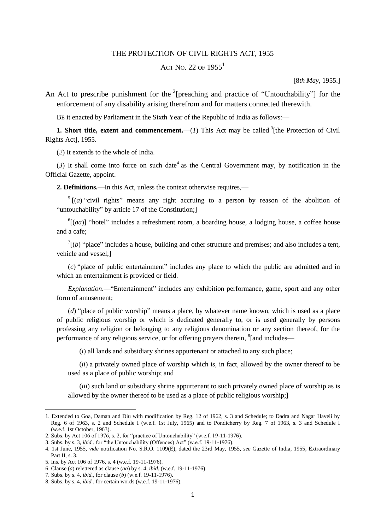## THE PROTECTION OF CIVIL RIGHTS ACT, 1955

## ACT NO. 22 OF  $1955^1$

[8*th May,* 1955.]

An Act to prescribe punishment for the  $2$ [preaching and practice of "Untouchability"] for the enforcement of any disability arising therefrom and for matters connected therewith.

BE it enacted by Parliament in the Sixth Year of the Republic of India as follows:—

**1. Short title, extent and commencement.**  $\left(\frac{1}{1}\right)$  This Act may be called <sup>3</sup> [the Protection of Civil Rights Act], 1955.

(*2*) It extends to the whole of India.

 $(3)$  It shall come into force on such date<sup>4</sup> as the Central Government may, by notification in the Official Gazette, appoint.

**2. Definitions.—**In this Act, unless the context otherwise requires,—

 $5[(a)$  "civil rights" means any right accruing to a person by reason of the abolition of "untouchability" by article 17 of the Constitution;]

 $^{6}$ [(*aa*)] "hotel" includes a refreshment room, a boarding house, a lodging house, a coffee house and a cafe;

 $^{7}$ [(*b*) "place" includes a house, building and other structure and premises; and also includes a tent, vehicle and vessel;]

(*c*) "place of public entertainment" includes any place to which the public are admitted and in which an entertainment is provided or field.

*Explanation.*—"Entertainment" includes any exhibition performance, game, sport and any other form of amusement;

(*d*) "place of public worship" means a place, by whatever name known, which is used as a place of public religious worship or which is dedicated generally to, or is used generally by persons professing any religion or belonging to any religious denomination or any section thereof, for the performance of any religious service, or for offering prayers therein, <sup>8</sup>[and includes—

(*i*) all lands and subsidiary shrines appurtenant or attached to any such place;

(*ii*) a privately owned place of worship which is, in fact, allowed by the owner thereof to be used as a place of public worship; and

(*iii*) such land or subsidiary shrine appurtenant to such privately owned place of worship as is allowed by the owner thereof to be used as a place of public religious worship;]

<sup>1.</sup> Extended to Goa, Daman and Diu with modification by Reg. 12 of 1962, s. 3 and Schedule; to Dadra and Nagar Haveli by Reg. 6 of 1963, s. 2 and Schedule I (w.e.f. 1st July, 1965) and to Pondicherry by Reg. 7 of 1963, s. 3 and Schedule I (w.e.f. 1st October, 1963).

<sup>2.</sup> Subs. by Act 106 of 1976, s. 2, for "practice of Untouchability" (w.e.f. 19-11-1976).

<sup>3.</sup> Subs. by s. 3, *ibid.*, for "the Untouchability (Offences) Act" (w.e.f. 19-11-1976).

<sup>4. 1</sup>st June, 1955, *vide* notification No. S.R.O. 1109(E), dated the 23rd May, 1955, *see* Gazette of India, 1955, Extraordinary Part II, s. 3.

<sup>5.</sup> Ins. by Act 106 of 1976, s. 4 (w.e.f. 19-11-1976).

<sup>6.</sup> Clause (*a*) relettered as clause (*aa*) by s. 4, *ibid.* (w.e.f. 19-11-1976).

<sup>7.</sup> Subs. by s. 4, *ibid.*, for clause (*b*) (w.e.f. 19-11-1976).

<sup>8.</sup> Subs. by s. 4, *ibid.*, for certain words (w.e.f. 19-11-1976).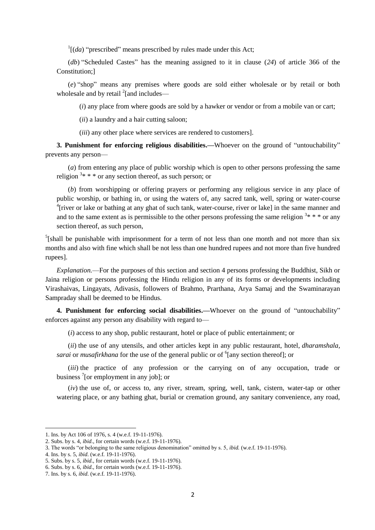$\int$ <sup>1</sup>[(*da*) "prescribed" means prescribed by rules made under this Act;

(*db*) "Scheduled Castes" has the meaning assigned to it in clause (*24*) of article 366 of the Constitution;]

(*e*) "shop" means any premises where goods are sold either wholesale or by retail or both wholesale and by retail  $^{2}$ [and includes—

(*i*) any place from where goods are sold by a hawker or vendor or from a mobile van or cart;

(*ii*) a laundry and a hair cutting saloon;

(*iii*) any other place where services are rendered to customers].

**3. Punishment for enforcing religious disabilities.—**Whoever on the ground of "untouchability" prevents any person—

(*a*) from entering any place of public worship which is open to other persons professing the same religion  $3* * *$  or any section thereof, as such person; or

(*b*) from worshipping or offering prayers or performing any religious service in any place of public worship, or bathing in, or using the waters of, any sacred tank, well, spring or water-course <sup>4</sup>[river or lake or bathing at any ghat of such tank, water-course, river or lake] in the same manner and and to the same extent as is permissible to the other persons professing the same religion  $3* * *$  or any section thereof, as such person,

 $5$ [shall be punishable with imprisonment for a term of not less than one month and not more than six months and also with fine which shall be not less than one hundred rupees and not more than five hundred rupees].

*Explanation.*—For the purposes of this section and section 4 persons professing the Buddhist, Sikh or Jaina religion or persons professing the Hindu religion in any of its forms or developments including Virashaivas, Lingayats, Adivasis, followers of Brahmo, Prarthana, Arya Samaj and the Swaminarayan Sampraday shall be deemed to be Hindus.

**4. Punishment for enforcing social disabilities.—**Whoever on the ground of "untouchability" enforces against any person any disability with regard to—

(*i*) access to any shop, public restaurant, hotel or place of public entertainment; or

(*ii*) the use of any utensils, and other articles kept in any public restaurant, hotel, *dharamshala,* sarai or *musafirkhana* for the use of the general public or of <sup>6</sup>[any section thereof]; or

(*iii*) the practice of any profession or the carrying on of any occupation, trade or business <sup>7</sup>[or employment in any job]; or

(*iv*) the use of, or access to, any river, stream, spring, well, tank, cistern, water-tap or other watering place, or any bathing ghat, burial or cremation ground, any sanitary convenience, any road,

<sup>1.</sup> Ins. by Act 106 of 1976, s. 4 (w.e.f. 19-11-1976).

<sup>2.</sup> Subs. by s. 4, *ibid*., for certain words (w.e.f. 19-11-1976).

<sup>3.</sup> The words "or belonging to the same religious denomination" omitted by s. 5, *ibid.* (w.e.f. 19-11-1976).

<sup>4.</sup> Ins. by s. 5, *ibid*. (w.e.f. 19-11-1976).

<sup>5.</sup> Subs. by s. 5, *ibid*., for certain words (w.e.f. 19-11-1976).

<sup>6.</sup> Subs. by s. 6, *ibid*., for certain words (w.e.f. 19-11-1976).

<sup>7.</sup> Ins. by s. 6, *ibid*. (w.e.f. 19-11-1976).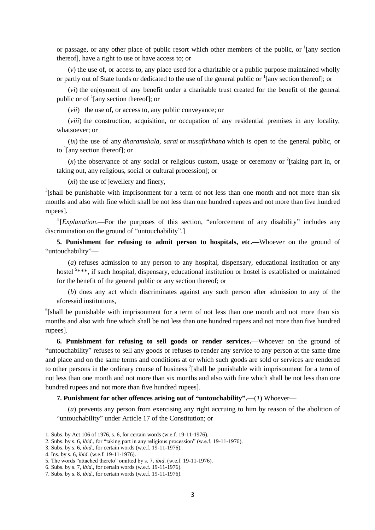or passage, or any other place of public resort which other members of the public, or  $\frac{1}{2}$  [any section thereof], have a right to use or have access to; or

(*v*) the use of, or access to, any place used for a charitable or a public purpose maintained wholly or partly out of State funds or dedicated to the use of the general public or <sup>1</sup>[any section thereof]; or

(*vi*) the enjoyment of any benefit under a charitable trust created for the benefit of the general public or of  $\frac{1}{2}$  [any section thereof]; or

(*vii*) the use of, or access to, any public conveyance; or

(*viii*) the construction, acquisition, or occupation of any residential premises in any locality, whatsoever; or

(*ix*) the use of any *dharamshala, sarai* or *musafirkhana* which is open to the general public, or to  $\frac{1}{2}$  [any section thereof]; or

 $(x)$  the observance of any social or religious custom, usage or ceremony or <sup>2</sup>[taking part in, or taking out, any religious, social or cultural procession]; or

(*xi*) the use of jewellery and finery,

 $3$ [shall be punishable with imprisonment for a term of not less than one month and not more than six months and also with fine which shall be not less than one hundred rupees and not more than five hundred rupees].

<sup>4</sup> [*Explanation*.—For the purposes of this section, "enforcement of any disability" includes any discrimination on the ground of "untouchability".]

**5. Punishment for refusing to admit person to hospitals, etc.—**Whoever on the ground of "untouchability"—

(*a*) refuses admission to any person to any hospital, dispensary, educational institution or any hostel <sup>5</sup>\*\*\*, if such hospital, dispensary, educational institution or hostel is established or maintained for the benefit of the general public or any section thereof; or

(*b*) does any act which discriminates against any such person after admission to any of the aforesaid institutions,

<sup>6</sup>[shall be punishable with imprisonment for a term of not less than one month and not more than six months and also with fine which shall be not less than one hundred rupees and not more than five hundred rupees].

**6. Punishment for refusing to sell goods or render services.—**Whoever on the ground of "untouchability" refuses to sell any goods or refuses to render any service to any person at the same time and place and on the same terms and conditions at or which such goods are sold or services are rendered to other persons in the ordinary course of business  $\frac{7}{1}$  [shall be punishable with imprisonment for a term of not less than one month and not more than six months and also with fine which shall be not less than one hundred rupees and not more than five hundred rupees].

**7. Punishment for other offences arising out of "untouchability".—**(*1*) Whoever—

(*a*) prevents any person from exercising any right accruing to him by reason of the abolition of "untouchability" under Article 17 of the Constitution; or

<sup>1.</sup> Subs. by Act 106 of 1976, s. 6, for certain words (w.e.f. 19-11-1976).

<sup>2.</sup> Subs. by s. 6, *ibid*., for "taking part in any religious procession" (w.e.f. 19-11-1976).

<sup>3.</sup> Subs. by s. 6, *ibid*., for certain words (w.e.f. 19-11-1976).

<sup>4.</sup> Ins. by s. 6, *ibid*. (w.e.f. 19-11-1976).

<sup>5.</sup> The words "attached thereto" omitted by s. 7, *ibid*. (w.e.f. 19-11-1976).

<sup>6.</sup> Subs. by s. 7, *ibid*., for certain words (w.e.f. 19-11-1976).

<sup>7.</sup> Subs. by s. 8, *ibid.*, for certain words (w.e.f. 19-11-1976).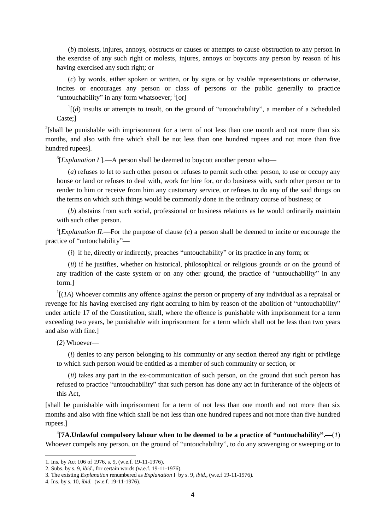(*b*) molests, injures, annoys, obstructs or causes or attempts to cause obstruction to any person in the exercise of any such right or molests, injures, annoys or boycotts any person by reason of his having exercised any such right; or

(*c*) by words, either spoken or written, or by signs or by visible representations or otherwise, incites or encourages any person or class of persons or the public generally to practice "untouchability" in any form whatsoever; <sup>1</sup>[or]

 $\mathbf{1}[(d)$  insults or attempts to insult, on the ground of "untouchability", a member of a Scheduled Caste;]

 $2$ [shall be punishable with imprisonment for a term of not less than one month and not more than six months, and also with fine which shall be not less than one hundred rupees and not more than five hundred rupees].

 $^{3}$ [*Explanation I*].—A person shall be deemed to boycott another person who—

(*a*) refuses to let to such other person or refuses to permit such other person, to use or occupy any house or land or refuses to deal with, work for hire for, or do business with, such other person or to render to him or receive from him any customary service, or refuses to do any of the said things on the terms on which such things would be commonly done in the ordinary course of business; or

(*b*) abstains from such social, professional or business relations as he would ordinarily maintain with such other person.

<sup>1</sup>[*Explanation II*.—For the purpose of clause (*c*) a person shall be deemed to incite or encourage the practice of "untouchability"—

(*i*) if he, directly or indirectly, preaches "untouchability" or its practice in any form; or

(*ii*) if he justifies, whether on historical, philosophical or religious grounds or on the ground of any tradition of the caste system or on any other ground, the practice of "untouchability" in any form.]

 $<sup>1</sup>$ [(*1A*) Whoever commits any offence against the person or property of any individual as a repraisal or</sup> revenge for his having exercised any right accruing to him by reason of the abolition of "untouchability" under article 17 of the Constitution, shall, where the offence is punishable with imprisonment for a term exceeding two years, be punishable with imprisonment for a term which shall not be less than two years and also with fine.]

(*2*) Whoever—

(*i*) denies to any person belonging to his community or any section thereof any right or privilege to which such person would be entitled as a member of such community or section, or

(*ii*) takes any part in the ex-communication of such person, on the ground that such person has refused to practice "untouchability" that such person has done any act in furtherance of the objects of this Act,

[shall be punishable with imprisonment for a term of not less than one month and not more than six months and also with fine which shall be not less than one hundred rupees and not more than five hundred rupees.]

4 [**7A.Unlawful compulsory labour when to be deemed to be a practice of "untouchability".—**(*1*) Whoever compels any person, on the ground of "untouchability", to do any scavenging or sweeping or to

<sup>1.</sup> Ins. by Act 106 of 1976, s. 9, (w.e.f. 19-11-1976).

<sup>2.</sup> Subs. by s. 9, *ibid*., for certain words (w.e.f. 19-11-1976).

<sup>3.</sup> The existing *Explanation* renumbered as *Explanation* I by s. 9, *ibid*., (w.e.f 19-11-1976).

<sup>4.</sup> Ins. by s. 10, *ibid.* (w.e.f. 19-11-1976).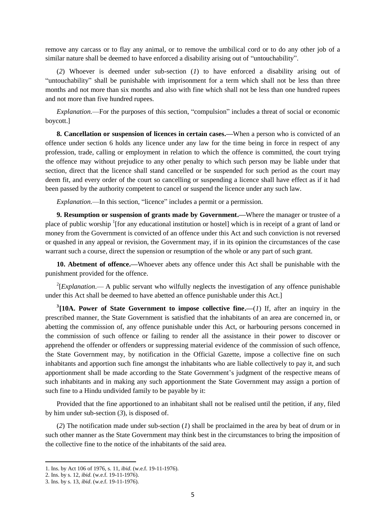remove any carcass or to flay any animal, or to remove the umbilical cord or to do any other job of a similar nature shall be deemed to have enforced a disability arising out of "untouchability".

(*2*) Whoever is deemed under sub-section (*1*) to have enforced a disability arising out of "untouchability" shall be punishable with imprisonment for a term which shall not be less than three months and not more than six months and also with fine which shall not be less than one hundred rupees and not more than five hundred rupees.

*Explanation.*—For the purposes of this section, "compulsion" includes a threat of social or economic boycott.]

**8. Cancellation or suspension of licences in certain cases.—**When a person who is convicted of an offence under section 6 holds any licence under any law for the time being in force in respect of any profession, trade, calling or employment in relation to which the offence is committed, the court trying the offence may without prejudice to any other penalty to which such person may be liable under that section, direct that the licence shall stand cancelled or be suspended for such period as the court may deem fit, and every order of the court so cancelling or suspending a licence shall have effect as if it had been passed by the authority competent to cancel or suspend the licence under any such law.

*Explanation.*—In this section, "licence" includes a permit or a permission.

**9. Resumption or suspension of grants made by Government.—**Where the manager or trustee of a place of public worship <sup>1</sup>[for any educational institution or hostel] which is in receipt of a grant of land or money from the Government is convicted of an offence under this Act and such conviction is not reversed or quashed in any appeal or revision, the Government may, if in its opinion the circumstances of the case warrant such a course, direct the supension or resumption of the whole or any part of such grant.

**10. Abetment of offence.—**Whoever abets any offence under this Act shall be punishable with the punishment provided for the offence.

 $2$ [*Explanation*.— A public servant who wilfully neglects the investigation of any offence punishable under this Act shall be deemed to have abetted an offence punishable under this Act.]

<sup>3</sup>[10A. Power of State Government to impose collective fine.— $(I)$  If, after an inquiry in the prescribed manner, the State Government is satisfied that the inhabitants of an area are concerned in, or abetting the commission of, any offence punishable under this Act, or harbouring persons concerned in the commission of such offence or failing to render all the assistance in their power to discover or apprehend the offender or offenders or suppressing material evidence of the commission of such offence, the State Government may, by notification in the Official Gazette, impose a collective fine on such inhabitants and apportion such fine amongst the inhabitants who are liable collectively to pay it, and such apportionment shall be made according to the State Government's judgment of the respective means of such inhabitants and in making any such apportionment the State Government may assign a portion of such fine to a Hindu undivided family to be payable by it:

Provided that the fine apportioned to an inhabitant shall not be realised until the petition, if any, filed by him under sub-section (*3*), is disposed of.

(*2*) The notification made under sub-section (*1*) shall be proclaimed in the area by beat of drum or in such other manner as the State Government may think best in the circumstances to bring the imposition of the collective fine to the notice of the inhabitants of the said area.

<sup>1.</sup> Ins. by Act 106 of 1976, s. 11, *ibid*. (w.e.f. 19-11-1976).

<sup>2.</sup> Ins. by s. 12, *ibid.* (w.e.f. 19-11-1976).

<sup>3.</sup> Ins. by s. 13, *ibid*. (w.e.f. 19-11-1976).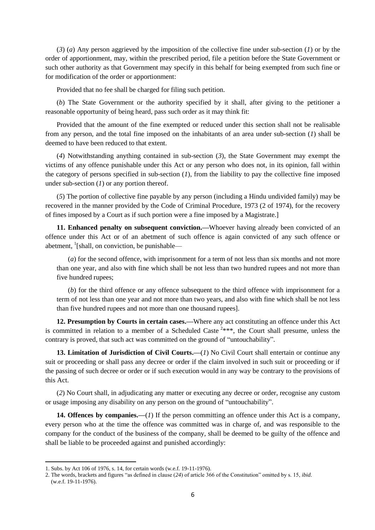(*3*) (*a*) Any person aggrieved by the imposition of the collective fine under sub-section (*1*) or by the order of apportionment, may, within the prescribed period, file a petition before the State Government or such other authority as that Government may specify in this behalf for being exempted from such fine or for modification of the order or apportionment:

Provided that no fee shall be charged for filing such petition.

(*b*) The State Government or the authority specified by it shall, after giving to the petitioner a reasonable opportunity of being heard, pass such order as it may think fit:

Provided that the amount of the fine exempted or reduced under this section shall not be realisable from any person, and the total fine imposed on the inhabitants of an area under sub-section (*1*) shall be deemed to have been reduced to that extent.

(*4*) Notwithstanding anything contained in sub-section (*3*), the State Government may exempt the victims of any offence punishable under this Act or any person who does not, in its opinion, fall within the category of persons specified in sub-section  $(I)$ , from the liability to pay the collective fine imposed under sub-section (*1*) or any portion thereof.

(*5*) The portion of collective fine payable by any person (including a Hindu undivided family) may be recovered in the manner provided by the Code of Criminal Procedure, 1973 (2 of 1974), for the recovery of fines imposed by a Court as if such portion were a fine imposed by a Magistrate.]

**11. Enhanced penalty on subsequent conviction.—**Whoever having already been convicted of an offence under this Act or of an abetment of such offence is again convicted of any such offence or abetment,  $\frac{1}{1}$ [shall, on conviction, be punishable—

(*a*) for the second offence, with imprisonment for a term of not less than six months and not more than one year, and also with fine which shall be not less than two hundred rupees and not more than five hundred rupees;

(*b*) for the third offence or any offence subsequent to the third offence with imprisonment for a term of not less than one year and not more than two years, and also with fine which shall be not less than five hundred rupees and not more than one thousand rupees].

**12. Presumption by Courts in certain cases.—**Where any act constituting an offence under this Act is committed in relation to a member of a Scheduled Caste<sup>2\*\*\*</sup>, the Court shall presume, unless the contrary is proved, that such act was committed on the ground of "untouchability".

**13. Limitation of Jurisdiction of Civil Courts.—**(*1*) No Civil Court shall entertain or continue any suit or proceeding or shall pass any decree or order if the claim involved in such suit or proceeding or if the passing of such decree or order or if such execution would in any way be contrary to the provisions of this Act.

(*2*) No Court shall, in adjudicating any matter or executing any decree or order, recognise any custom or usage imposing any disability on any person on the ground of "untouchability".

**14. Offences by companies.—**(*1*) If the person committing an offence under this Act is a company, every person who at the time the offence was committed was in charge of, and was responsible to the company for the conduct of the business of the company, shall be deemed to be guilty of the offence and shall be liable to be proceeded against and punished accordingly:

<sup>1.</sup> Subs. by Act 106 of 1976, s. 14, for certain words (w.e.f. 19-11-1976).

<sup>2.</sup> The words, brackets and figures "as defined in clause (*24*) of article 366 of the Constitution" omitted by s. 15, *ibid*. (w.e.f. 19-11-1976).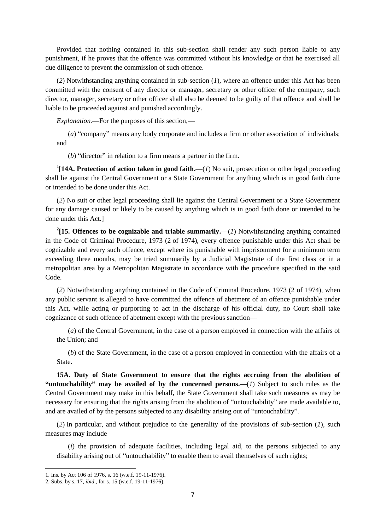Provided that nothing contained in this sub-section shall render any such person liable to any punishment, if he proves that the offence was committed without his knowledge or that he exercised all due diligence to prevent the commission of such offence.

(*2*) Notwithstanding anything contained in sub-section (*1*), where an offence under this Act has been committed with the consent of any director or manager, secretary or other officer of the company, such director, manager, secretary or other officer shall also be deemed to be guilty of that offence and shall be liable to be proceeded against and punished accordingly.

*Explanation.*—For the purposes of this section,—

(*a*) "company" means any body corporate and includes a firm or other association of individuals; and

(*b*) "director" in relation to a firm means a partner in the firm.

<sup>1</sup>[14A. Protection of action taken in good faith.—(*1*) No suit, prosecution or other legal proceeding shall lie against the Central Government or a State Government for anything which is in good faith done or intended to be done under this Act.

(*2*) No suit or other legal proceeding shall lie against the Central Government or a State Government for any damage caused or likely to be caused by anything which is in good faith done or intended to be done under this Act.]

<sup>2</sup>[15. Offences to be cognizable and triable summarily.— $(I)$  Notwithstanding anything contained in the Code of Criminal Procedure, 1973 (2 of 1974), every offence punishable under this Act shall be cognizable and every such offence, except where its punishable with imprisonment for a minimum term exceeding three months, may be tried summarily by a Judicial Magistrate of the first class or in a metropolitan area by a Metropolitan Magistrate in accordance with the procedure specified in the said Code.

(*2*) Notwithstanding anything contained in the Code of Criminal Procedure, 1973 (2 of 1974), when any public servant is alleged to have committed the offence of abetment of an offence punishable under this Act, while acting or purporting to act in the discharge of his official duty, no Court shall take cognizance of such offence of abetment except with the previous sanction—

(*a*) of the Central Government, in the case of a person employed in connection with the affairs of the Union; and

(*b*) of the State Government, in the case of a person employed in connection with the affairs of a State.

**15A. Duty of State Government to ensure that the rights accruing from the abolition of "untouchability" may be availed of by the concerned persons.—**(*1*) Subject to such rules as the Central Government may make in this behalf, the State Government shall take such measures as may be necessary for ensuring that the rights arising from the abolition of "untouchability" are made available to, and are availed of by the persons subjected to any disability arising out of "untouchability".

(*2*) In particular, and without prejudice to the generality of the provisions of sub-section (*1*), such measures may include—

(*i*) the provision of adequate facilities, including legal aid, to the persons subjected to any disability arising out of "untouchability" to enable them to avail themselves of such rights;

1

<sup>1.</sup> Ins. by Act 106 of 1976, s. 16 (w.e.f. 19-11-1976).

<sup>2.</sup> Subs. by s. 17, *ibid*., for s. 15 (w.e.f. 19-11-1976).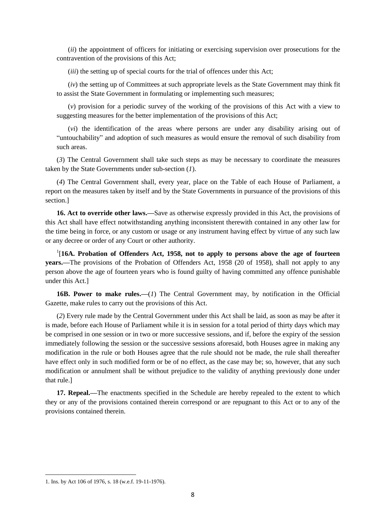(*ii*) the appointment of officers for initiating or exercising supervision over prosecutions for the contravention of the provisions of this Act;

(*iii*) the setting up of special courts for the trial of offences under this Act;

(*iv*) the setting up of Committees at such appropriate levels as the State Government may think fit to assist the State Government in formulating or implementing such measures;

(*v*) provision for a periodic survey of the working of the provisions of this Act with a view to suggesting measures for the better implementation of the provisions of this Act;

(*vi*) the identification of the areas where persons are under any disability arising out of "untouchability" and adoption of such measures as would ensure the removal of such disability from such areas.

(*3*) The Central Government shall take such steps as may be necessary to coordinate the measures taken by the State Governments under sub-section (*1*).

(*4*) The Central Government shall, every year, place on the Table of each House of Parliament, a report on the measures taken by itself and by the State Governments in pursuance of the provisions of this section.]

**16. Act to override other laws.—**Save as otherwise expressly provided in this Act, the provisions of this Act shall have effect notwithstanding anything inconsistent therewith contained in any other law for the time being in force, or any custom or usage or any instrument having effect by virtue of any such law or any decree or order of any Court or other authority.

<sup>1</sup>[16A. Probation of Offenders Act, 1958, not to apply to persons above the age of fourteen **years.—**The provisions of the Probation of Offenders Act, 1958 (20 of 1958), shall not apply to any person above the age of fourteen years who is found guilty of having committed any offence punishable under this Act.]

**16B. Power to make rules.—**(*1*) The Central Government may, by notification in the Official Gazette, make rules to carry out the provisions of this Act.

(*2*) Every rule made by the Central Government under this Act shall be laid, as soon as may be after it is made, before each House of Parliament while it is in session for a total period of thirty days which may be comprised in one session or in two or more successive sessions, and if, before the expiry of the session immediately following the session or the successive sessions aforesaid, both Houses agree in making any modification in the rule or both Houses agree that the rule should not be made, the rule shall thereafter have effect only in such modified form or be of no effect, as the case may be; so, however, that any such modification or annulment shall be without prejudice to the validity of anything previously done under that rule.]

**17. Repeal.—**The enactments specified in the Schedule are hereby repealed to the extent to which they or any of the provisions contained therein correspond or are repugnant to this Act or to any of the provisions contained therein.

<sup>1.</sup> Ins. by Act 106 of 1976, s. 18 (w.e.f. 19-11-1976).